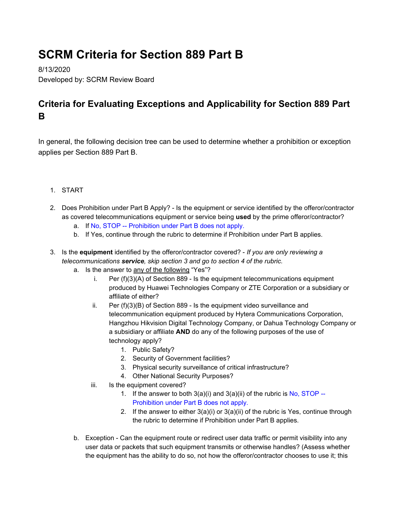## **SCRM Criteria for Section 889 Part B**

8/13/2020 Developed by: SCRM Review Board

## **Criteria for Evaluating Exceptions and Applicability for Section 889 Part B**

In general, the following decision tree can be used to determine whether a prohibition or exception applies per Section 889 Part B.

- 1. START
- 2. Does Prohibition under Part B Apply? Is the equipment or service identified by the offeror/contractor as covered telecommunications equipment or service being **used** by the prime offeror/contractor?
	- a. If No, STOP -- Prohibition under Part B does not apply.
	- b. If Yes, continue through the rubric to determine if Prohibition under Part B applies.
- 3. Is the **equipment** identified by the offeror/contractor covered? *If you are only reviewing a telecommunications service, skip section 3 and go to section 4 of the rubric.*
	- a. Is the answer to any of the following "Yes"?
		- i. Per (f)(3)(A) of Section 889 Is the equipment telecommunications equipment produced by Huawei Technologies Company or ZTE Corporation or a subsidiary or affiliate of either?
		- ii. Per (f)(3)(B) of Section 889 Is the equipment video surveillance and telecommunication equipment produced by Hytera Communications Corporation, Hangzhou Hikvision Digital Technology Company, or Dahua Technology Company or a subsidiary or affiliate **AND** do any of the following purposes of the use of technology apply?
			- 1. Public Safety?
			- 2. Security of Government facilities?
			- 3. Physical security surveillance of critical infrastructure?
			- 4. Other National Security Purposes?
		- iii. Is the equipment covered?
			- 1. If the answer to both  $3(a)(i)$  and  $3(a)(ii)$  of the rubric is No, STOP --Prohibition under Part B does not apply.
			- 2. If the answer to either  $3(a)(i)$  or  $3(a)(ii)$  of the rubric is Yes, continue through the rubric to determine if Prohibition under Part B applies.
	- b. Exception Can the equipment route or redirect user data traffic or permit visibility into any user data or packets that such equipment transmits or otherwise handles? (Assess whether the equipment has the ability to do so, not how the offeror/contractor chooses to use it; this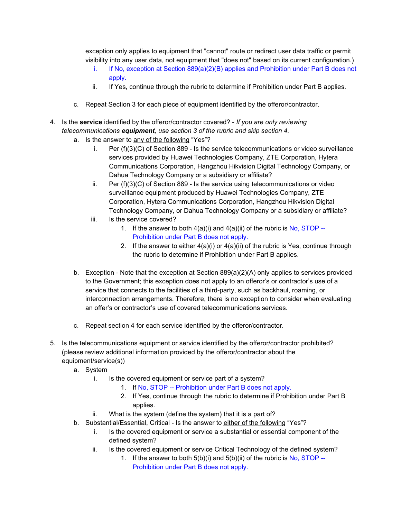exception only applies to equipment that "cannot" route or redirect user data traffic or permit visibility into any user data, not equipment that "does not" based on its current configuration.)

- i. If No, exception at Section  $889(a)(2)(B)$  applies and Prohibition under Part B does not apply.
- ii. If Yes, continue through the rubric to determine if Prohibition under Part B applies.
- c. Repeat Section 3 for each piece of equipment identified by the offeror/contractor.
- 4. Is the **service** identified by the offeror/contractor covered? *If you are only reviewing telecommunications equipment, use section 3 of the rubric and skip section 4.*
	- a. Is the answer to any of the following "Yes"?
		- i. Per (f)(3)(C) of Section 889 Is the service telecommunications or video surveillance services provided by Huawei Technologies Company, ZTE Corporation, Hytera Communications Corporation, Hangzhou Hikvision Digital Technology Company, or Dahua Technology Company or a subsidiary or affiliate?
		- ii. Per (f)(3)(C) of Section 889 Is the service using telecommunications or video surveillance equipment produced by Huawei Technologies Company, ZTE Corporation, Hytera Communications Corporation, Hangzhou Hikvision Digital Technology Company, or Dahua Technology Company or a subsidiary or affiliate?
		- iii. Is the service covered?
			- 1. If the answer to both  $4(a)(i)$  and  $4(a)(ii)$  of the rubric is No, STOP --Prohibition under Part B does not apply.
			- 2. If the answer to either  $4(a)(i)$  or  $4(a)(ii)$  of the rubric is Yes, continue through the rubric to determine if Prohibition under Part B applies.
	- b. Exception Note that the exception at Section 889(a)(2)(A) only applies to services provided to the Government; this exception does not apply to an offeror's or contractor's use of a service that connects to the facilities of a third-party, such as backhaul, roaming, or interconnection arrangements. Therefore, there is no exception to consider when evaluating an offer's or contractor's use of covered telecommunications services.
	- c. Repeat section 4 for each service identified by the offeror/contractor.
- 5. Is the telecommunications equipment or service identified by the offeror/contractor prohibited? (please review additional information provided by the offeror/contractor about the equipment/service(s))
	- a. System
		- i. Is the covered equipment or service part of a system?
			- 1. If No, STOP -- Prohibition under Part B does not apply.
			- 2. If Yes, continue through the rubric to determine if Prohibition under Part B applies.
		- ii. What is the system (define the system) that it is a part of?
	- b. Substantial/Essential, Critical Is the answer to either of the following "Yes"?
		- i. Is the covered equipment or service a substantial or essential component of the defined system?
		- ii. Is the covered equipment or service Critical Technology of the defined system?
			- 1. If the answer to both 5(b)(i) and 5(b)(ii) of the rubric is No, STOP -- Prohibition under Part B does not apply.